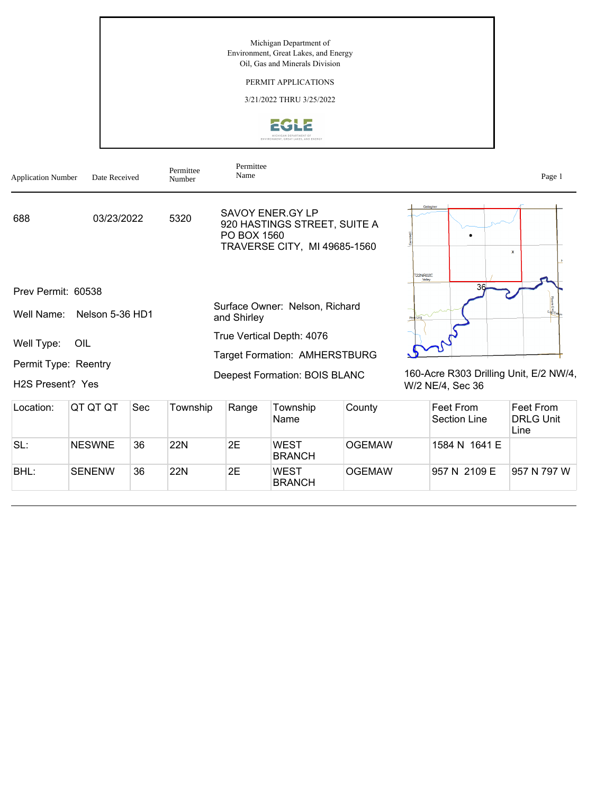### PERMIT APPLICATIONS

3/21/2022 THRU 3/25/2022



| <b>Application Number</b>     | Date Received   |     | Permittee<br>Number                  | Permittee<br>Name |                                                                                         |               |                                                            |                           | Page 1                                |
|-------------------------------|-----------------|-----|--------------------------------------|-------------------|-----------------------------------------------------------------------------------------|---------------|------------------------------------------------------------|---------------------------|---------------------------------------|
| 688                           | 03/23/2022      |     | 5320                                 | PO BOX 1560       | <b>SAVOY ENER.GY LP</b><br>920 HASTINGS STREET, SUITE A<br>TRAVERSE CITY, MI 49685-1560 |               | Gallagher                                                  |                           | $\mathbf{x}$                          |
| Prev Permit: 60538            |                 |     |                                      |                   |                                                                                         |               | <b>T22NR02E</b><br>Valley                                  | 36                        |                                       |
| Well Name:                    | Nelson 5-36 HD1 |     |                                      | and Shirley       | Surface Owner: Nelson, Richard                                                          |               | Pine Log                                                   |                           |                                       |
| Well Type:                    | OIL             |     |                                      |                   | True Vertical Depth: 4076                                                               |               |                                                            |                           |                                       |
| Permit Type: Reentry          |                 |     | <b>Target Formation: AMHERSTBURG</b> |                   |                                                                                         |               |                                                            |                           |                                       |
| H <sub>2</sub> S Present? Yes |                 |     |                                      |                   | <b>Deepest Formation: BOIS BLANC</b>                                                    |               | 160-Acre R303 Drilling Unit, E/2 NW/4,<br>W/2 NE/4, Sec 36 |                           |                                       |
| Location:                     | QT QT QT        | Sec | Township                             | Range             | Township<br>Name                                                                        | County        |                                                            | Feet From<br>Section Line | Feet From<br><b>DRLG Unit</b><br>Line |
| SL:                           | <b>NESWNE</b>   | 36  | <b>22N</b>                           | 2E                | <b>WEST</b><br><b>BRANCH</b>                                                            | <b>OGEMAW</b> |                                                            | 1584 N 1641 E             |                                       |
| BHL:                          | <b>SENENW</b>   | 36  | <b>22N</b>                           | 2E                | <b>WEST</b><br><b>BRANCH</b>                                                            | <b>OGEMAW</b> |                                                            | 957 N 2109 E              | 957 N 797 W                           |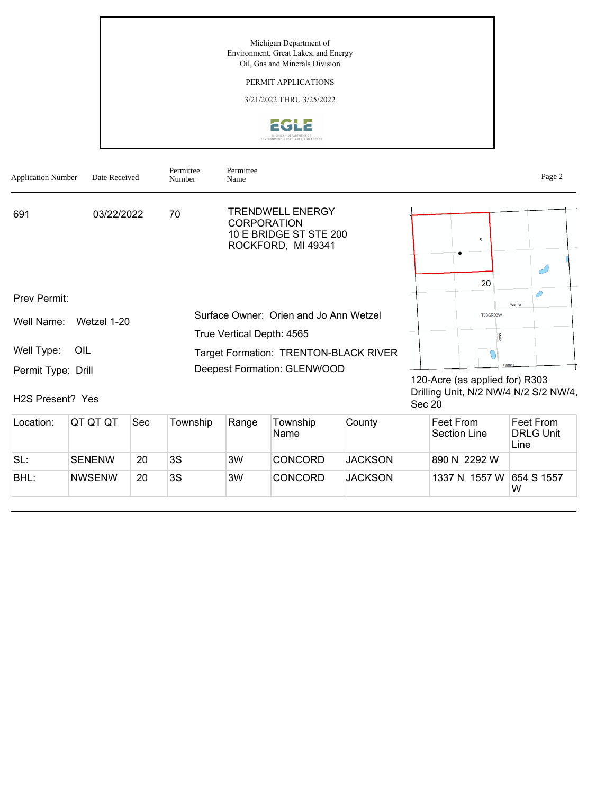# PERMIT APPLICATIONS

3/21/2022 THRU 3/25/2022



| <b>Application Number</b>                           | Date Received | Permittee<br>Number | Permittee<br>Name                                                                      |                                                                                            | Page 2 |
|-----------------------------------------------------|---------------|---------------------|----------------------------------------------------------------------------------------|--------------------------------------------------------------------------------------------|--------|
| 691                                                 | 03/22/2022    | 70                  | TRENDWELL ENERGY<br><b>CORPORATION</b><br>10 E BRIDGE ST STE 200<br>ROCKFORD, MI 49341 | $\mathbf{x}$                                                                               |        |
|                                                     |               |                     |                                                                                        | 20                                                                                         |        |
| Prev Permit:                                        |               |                     |                                                                                        | Wamer                                                                                      |        |
| Well Name:                                          | Wetzel 1-20   |                     | Surface Owner: Orien and Jo Ann Wetzel<br>True Vertical Depth: 4565                    | <b>T03SR03W</b>                                                                            |        |
| Well Type:                                          | OIL           |                     | Target Formation: TRENTON-BLACK RIVER                                                  |                                                                                            |        |
| Permit Type: Drill<br>H <sub>2</sub> S Present? Yes |               |                     | Deepest Formation: GLENWOOD                                                            | Comel<br>120-Acre (as applied for) R303<br>Drilling Unit, N/2 NW/4 N/2 S/2 NW/4,<br>Sec 20 |        |

| Location: | IQT QT QT     | Sec | Township | Range | Township<br>Name | County         | ∣Feet From<br>Section Line | Feet From<br><b>DRLG Unit</b><br>Line |
|-----------|---------------|-----|----------|-------|------------------|----------------|----------------------------|---------------------------------------|
| SL:       | <b>SENENW</b> | 20  | 3S       | 3W    | <b>CONCORD</b>   | <b>JACKSON</b> | 890 N 2292 W               |                                       |
| BHL:      | <b>NWSENW</b> | 20  | 3S       | 3W    | <b>CONCORD</b>   | <b>JACKSON</b> | 1337 N 1557 W              | 654 S 1557<br>W                       |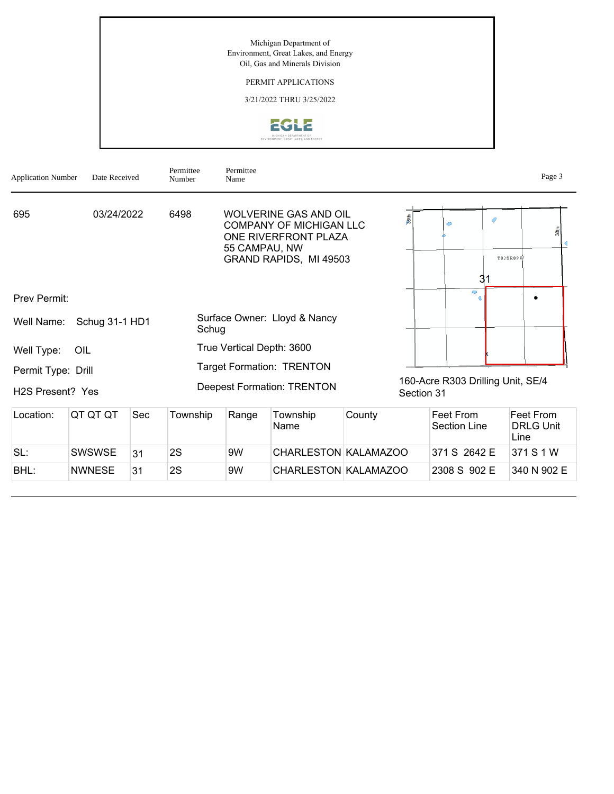# PERMIT APPLICATIONS

3/21/2022 THRU 3/25/2022



| <b>Application Number</b>     | Date Received                                                      |    | Permittee<br>Permittee<br>Number<br>Name                                                                                                  |    |                                   |  |                                                 |                           |               | Page 3                                |
|-------------------------------|--------------------------------------------------------------------|----|-------------------------------------------------------------------------------------------------------------------------------------------|----|-----------------------------------|--|-------------------------------------------------|---------------------------|---------------|---------------------------------------|
| 03/24/2022<br>695             |                                                                    |    | <b>WOLVERINE GAS AND OIL</b><br>6498<br><b>COMPANY OF MICHIGAN LLC</b><br>ONE RIVERFRONT PLAZA<br>55 CAMPAU, NW<br>GRAND RAPIDS, MI 49503 |    |                                   |  |                                                 | ◇                         | 0<br>T03SR09W | 38th                                  |
|                               |                                                                    |    |                                                                                                                                           |    |                                   |  |                                                 | 31<br>$\bullet$           |               |                                       |
| Prev Permit:                  |                                                                    |    |                                                                                                                                           |    |                                   |  |                                                 |                           |               |                                       |
| Well Name:                    | Schug 31-1 HD1                                                     |    | Surface Owner: Lloyd & Nancy<br>Schug                                                                                                     |    |                                   |  |                                                 |                           |               |                                       |
| Well Type:                    | OIL                                                                |    | True Vertical Depth: 3600                                                                                                                 |    |                                   |  |                                                 |                           |               |                                       |
| Permit Type: Drill            |                                                                    |    |                                                                                                                                           |    | <b>Target Formation: TRENTON</b>  |  |                                                 |                           |               |                                       |
| H <sub>2</sub> S Present? Yes |                                                                    |    |                                                                                                                                           |    | <b>Deepest Formation: TRENTON</b> |  | 160-Acre R303 Drilling Unit, SE/4<br>Section 31 |                           |               |                                       |
| Location:                     | QT QT QT<br>Sec<br>Township<br>County<br>Range<br>Township<br>Name |    |                                                                                                                                           |    |                                   |  |                                                 | Feet From<br>Section Line |               | Feet From<br><b>DRLG Unit</b><br>Line |
| SL:                           | <b>SWSWSE</b>                                                      | 31 | 2S                                                                                                                                        | 9W | CHARLESTON KALAMAZOO              |  |                                                 | 371 S 2642 E              |               | 371 S 1 W                             |
| BHL:                          | 2S<br>31<br>9W<br>CHARLESTON KALAMAZOO<br><b>NWNESE</b>            |    |                                                                                                                                           |    |                                   |  |                                                 | 2308 S 902 E              |               | 340 N 902 E                           |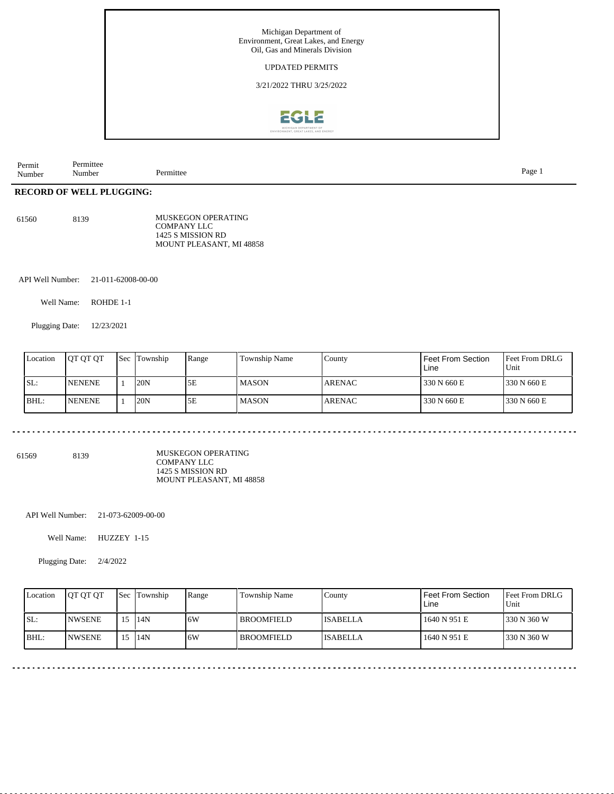

| -<br>ermittee<br>Permit<br>- -<br>Permittee<br>$\cdot$ $\cdot$<br>Number<br>Number |  |
|------------------------------------------------------------------------------------|--|
|------------------------------------------------------------------------------------|--|

# **RECORD OF WELL PLUGGING:**

| 61560 | 8139 | <b>MUSKEGON OPERATING</b> |  |  |  |
|-------|------|---------------------------|--|--|--|
|       |      | COMPANY LLC               |  |  |  |
|       |      | 1425 S MISSION RD         |  |  |  |
|       |      | MOUNT PLEASANT, MI 48858  |  |  |  |

API Well Number: 21-011-62008-00-00

Well Name: ROHDE 1-1

Plugging Date: 12/23/2021

| Location | <b>IOT OT OT</b> | <b>Sec</b> | Township | Range | Township Name | County         | Feet From Section<br>Line | <b>Feet From DRLG</b><br>Unit |
|----------|------------------|------------|----------|-------|---------------|----------------|---------------------------|-------------------------------|
| SL:      | <b>NENENE</b>    |            | 20N      | 5Ε    | l MASON       | <b>ARENAC</b>  | 330 N 660 E               | 1330 N 660 E                  |
| BHL:     | <b>NENENE</b>    |            | 20N      | 5E    | l MASON       | <b>LARENAC</b> | 330 N 660 E               | 1330 N 660 E                  |

61569 8139

MUSKEGON OPERATING COMPANY LLC 1425 S MISSION RD MOUNT PLEASANT, MI 48858

API Well Number: 21-073-62009-00-00

Well Name: HUZZEY 1-15

Plugging Date: 2/4/2022

| Location | <b>IOT OT OT</b> |                 | <b>Sec Township</b> | Range | Township Name     | Countv          | Feet From Section<br>Line | <b>Feet From DRLG</b><br>Unit |
|----------|------------------|-----------------|---------------------|-------|-------------------|-----------------|---------------------------|-------------------------------|
| ISL:     | <b>INWSENE</b>   | 15 <sup>5</sup> | 14N                 | 16W   | <b>BROOMFIELD</b> | <b>ISABELLA</b> | 1640 N 951 E              | 1330 N 360 W                  |
| BHL:     | <b>INWSENE</b>   | 15              | 14N                 | ا 6W  | <b>BROOMFIELD</b> | <b>ISABELLA</b> | 1640 N 951 E              | 1330 N 360 W                  |

Page 1

diama diama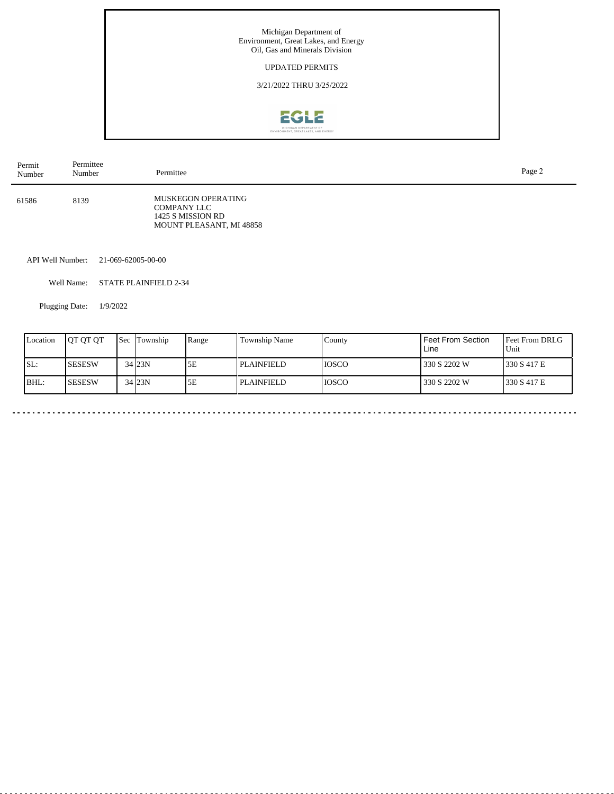### UPDATED PERMITS

3/21/2022 THRU 3/25/2022



| Permit<br>Number | Permittee<br>Number | Permittee                                                                                        | Page 2 |
|------------------|---------------------|--------------------------------------------------------------------------------------------------|--------|
| 61586            | 8139                | <b>MUSKEGON OPERATING</b><br><b>COMPANY LLC</b><br>1425 S MISSION RD<br>MOUNT PLEASANT, MI 48858 |        |

API Well Number: 21-069-62005-00-00

Well Name: STATE PLAINFIELD 2-34

Plugging Date: 1/9/2022

| Location | <b>IOT OT OT</b> | <b>Sec</b> Township | Range | Township Name     | County       | Feet From Section<br>Line | <b>Feet From DRLG</b><br>Unit |
|----------|------------------|---------------------|-------|-------------------|--------------|---------------------------|-------------------------------|
| SL:      | ISESESW          | 34 23N              | 5Ε    | <b>PLAINFIELD</b> | <b>IOSCO</b> | 1330 S 2202 W             | 1330 S 417 E                  |
| BHL:     | ISESESW          | 34 23N              | 5Ε    | <b>PLAINFIELD</b> | <b>IOSCO</b> | 330 S 2202 W              | 1330 S 417 E                  |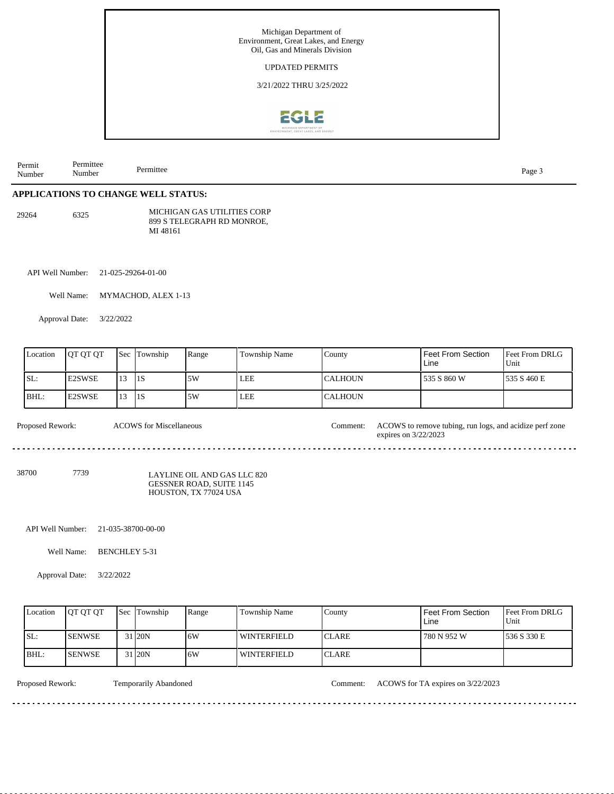

| Permit<br>Number | Permittee<br>Number                                                                             |           | Permittee                      |       |                                                           |                |                                                                                 | Page 3                 |  |  |  |  |  |  |
|------------------|-------------------------------------------------------------------------------------------------|-----------|--------------------------------|-------|-----------------------------------------------------------|----------------|---------------------------------------------------------------------------------|------------------------|--|--|--|--|--|--|
|                  | APPLICATIONS TO CHANGE WELL STATUS:                                                             |           |                                |       |                                                           |                |                                                                                 |                        |  |  |  |  |  |  |
| 29264            | 6325                                                                                            |           | MI 48161                       |       | MICHIGAN GAS UTILITIES CORP<br>899 S TELEGRAPH RD MONROE, |                |                                                                                 |                        |  |  |  |  |  |  |
| API Well Number: |                                                                                                 |           | 21-025-29264-01-00             |       |                                                           |                |                                                                                 |                        |  |  |  |  |  |  |
|                  | Well Name:<br>MYMACHOD, ALEX 1-13                                                               |           |                                |       |                                                           |                |                                                                                 |                        |  |  |  |  |  |  |
|                  | Approval Date:                                                                                  | 3/22/2022 |                                |       |                                                           |                |                                                                                 |                        |  |  |  |  |  |  |
| Location         | QT QT QT                                                                                        | Sec       | Township                       | Range | Township Name                                             | County         | Feet From Section<br>Line                                                       | Feet From DRLG<br>Unit |  |  |  |  |  |  |
| SL:              | E2SWSE                                                                                          | 13        | 1S                             | 5W    | LEE                                                       | <b>CALHOUN</b> | 535 S 860 W                                                                     | 535 S 460 E            |  |  |  |  |  |  |
| BHL:             | E2SWSE                                                                                          | 13        | $\vert$ 1S                     | 5W    | LEE                                                       | <b>CALHOUN</b> |                                                                                 |                        |  |  |  |  |  |  |
| Proposed Rework: |                                                                                                 |           | <b>ACOWS</b> for Miscellaneous |       |                                                           | Comment:       | ACOWS to remove tubing, run logs, and acidize perf zone<br>expires on 3/22/2023 |                        |  |  |  |  |  |  |
| 38700            | 7739<br>LAYLINE OIL AND GAS LLC 820<br><b>GESSNER ROAD, SUITE 1145</b><br>HOUSTON, TX 77024 USA |           |                                |       |                                                           |                |                                                                                 |                        |  |  |  |  |  |  |
| API Well Number: |                                                                                                 |           | 21-035-38700-00-00             |       |                                                           |                |                                                                                 |                        |  |  |  |  |  |  |
|                  | Well Name:                                                                                      |           | <b>BENCHLEY 5-31</b>           |       |                                                           |                |                                                                                 |                        |  |  |  |  |  |  |
|                  | Approval Date:                                                                                  | 3/22/2022 |                                |       |                                                           |                |                                                                                 |                        |  |  |  |  |  |  |

|       | Location | <b>IOT OT OT</b> | <b>Sec</b> Township | Range | Township Name      | County        | Feet From Section<br>Line | <b>Feet From DRLG</b><br>Unit |
|-------|----------|------------------|---------------------|-------|--------------------|---------------|---------------------------|-------------------------------|
| SL:   |          | <b>SENWSE</b>    | 31 20N              | 16W   | WINTERFIELD        | <b>ICLARE</b> | 780 N 952 W               | 1536 S 330 E                  |
| IBHL: |          | <b>ISENWSE</b>   | 31 <sub>20N</sub>   | .6W   | <b>WINTERFIELD</b> | <b>ICLARE</b> |                           |                               |

Proposed Rework: Temporarily Abandoned Comment: ACOWS for TA expires on 3/22/2023

<u>. . . . . . . .</u>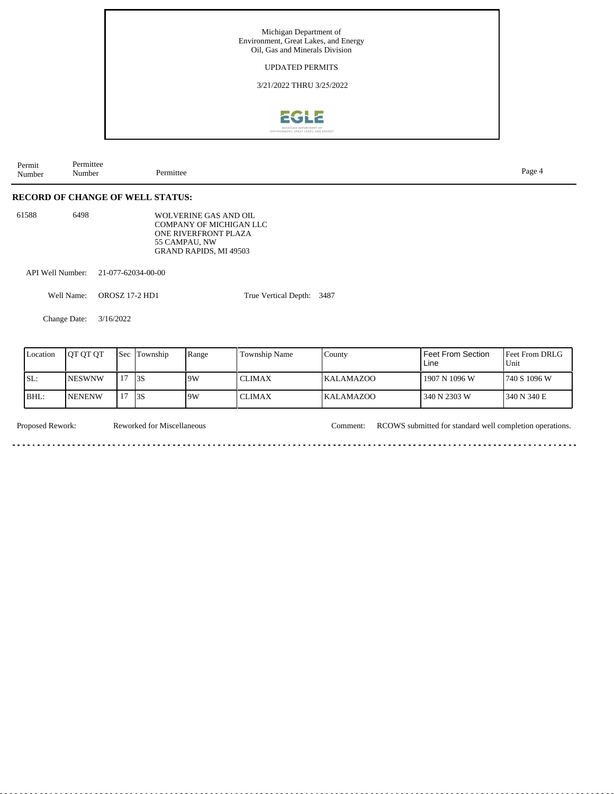

| Permit<br>Number | –<br>Permitter<br>Number | . u.c.<br>- |
|------------------|--------------------------|-------------|
|                  |                          |             |

### **RECORD OF CHANGE OF WELL STATUS:**

| 61588 | 6498 | WOLVERINE GAS AND OIL   |
|-------|------|-------------------------|
|       |      | COMPANY OF MICHIGAN LLC |
|       |      | ONE RIVERFRONT PLAZA    |
|       |      | 55 CAMPAU. NW           |
|       |      | GRAND RAPIDS, MI 49503  |

API Well Number: 21-077-62034-00-00

Well Name: OROSZ 17-2 HD1

True Vertical Depth: 3487

Change Date: 3/16/2022

| Location | IOT OT OT      | Sec Township | Range | <b>Township Name</b> | County           | l Feet From Section.<br>Line | <b>IFeet From DRLG</b><br>Unit |
|----------|----------------|--------------|-------|----------------------|------------------|------------------------------|--------------------------------|
| SL:      | <b>INESWNW</b> | 13S          | 9W    | <b>CLIMAX</b>        | <b>KALAMAZOO</b> | 1907 N 1096 W                | 1740 S 1096 W                  |
| BHL:     | <b>INENENW</b> | 13S          | 9W    | <b>CLIMAX</b>        | <b>KALAMAZOO</b> | 340 N 2303 W                 | 340 N 340 E                    |

Reworked for Miscellaneous

Proposed Rework: Reworked for Miscellaneous Comment: RCOWS submitted for standard well completion operations.